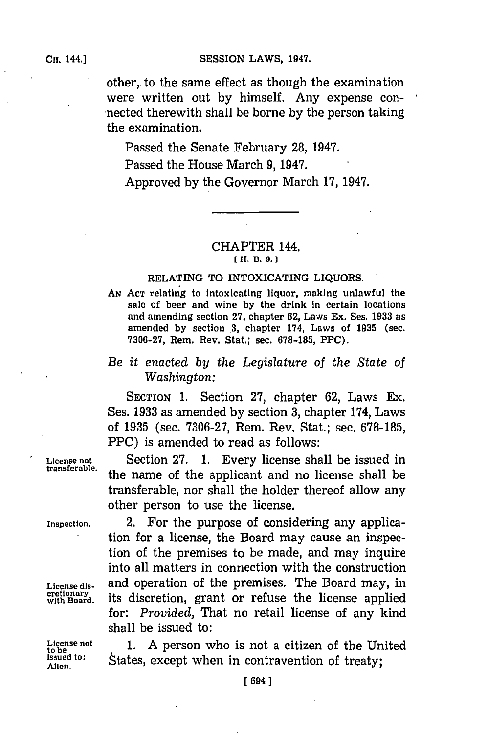**CH. 1441SESSION LAWS, 1947.**

other, to the same effect as though the examination were written out **by** himself. Any expense con nected therewith shall be borne by the person taking the examination.

Passed the Senate February **28,** 1947. Passed the House March **9,** 1947. Approved **by** the Governor March **17,** 1947.

## CHAPTER 144. *[H.* **B. 9.]**

## **RELATING TO INTOXICATING LIQUORS.**

**AN~ ACT relating to intoxicating liquor, making unlawful the sale of beer and wvine by the drink in certain locations and amending section 27, chapter 62, Laws Ex. Ses. 1933 as** amended by section 3, chapter 174, Laws of 1935 (sec. **7306-27, Rem. Rev. Stat.; sec. 678-185, PPC).**

## *Be it enacted by the Legislature of the State of Washington:*

**SECTION 1.** Section **27,** chapter **62,** Laws Ex. Ses. **1933** as amended **by** section **3,** chapter 174, Laws of **1935** (sec. **7306-27,** Rem. Rev. Stat.; sec. **678-185,** PPC) is amended to read as follows:

License not **Section 27. 1. Every license shall be issued in** transferable. the name of the applicant and no license shall be transferable, nor shall the holder thereof allow any other person to use the license.

**Inspection.** 2. For the purpose of considering any application for a license, the Board may cause an inspection of the premises to be made, and may inquire into all matters in connection with the construction License dis- and operation of the premises. The Board may, in cretionary **is all please** respectively with Board. **its discretion**, grant or refuse the license applied for: *Provided,* That no retail license of any kind shall be issued to:

License not 1. A person who is not a citizen of the United<br>
Issued to:  $\phi$  is total avenue who is contravention of the United **issued to:** States, except when in contravention of treaty;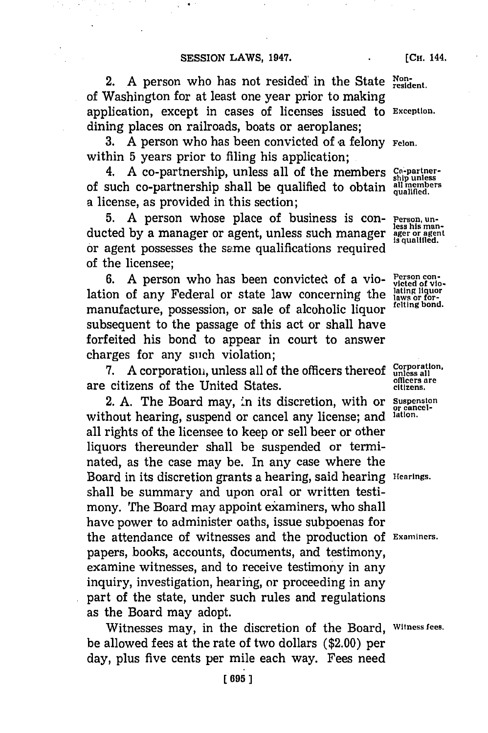2. A person who has not resided in the State Nonof Washington for at least one year prior to making application, except in cases of licenses issued to **Exception.** dining places on railroads, boats or aeroplanes;

3. A person who has been convicted of a felony **Felon.** within **5** years prior to filing his application;

4. **A** co-partnership, unless all of the members **Co-partner**of such co-partnership shall be qualified to obtain **all members qualified.** a license, as provided in this section;

5. A person whose place of business is con- **Person, un**ducted **by** a manager or agent, unless such manager **ager or agent** or agent possesses the same qualifications required of the licensee;

6. A person who has been convicted of a vio- **Person con-**<br>
on of any Federal or state law concerning the laws or forlation of any Federal or state law concerning the lating liquor<br>manufacture possession or sale of algebratic liquon felting bond. manufacture, possession, or sale of alcoholic liquor subsequent to the passage of this act or shall have forfeited his bond to appear in court to answer charges for any such violation;

**7.** A corporation, unless all of the officers thereof unless all corporation, **officers are** are citizens of the United States. **citizens.**

2. **A.** The Board may, in its discretion, with or **Suspension** without hearing, suspend or cancel any license; and **lation.** all rights of the licensee to keep or sell beer or other liquors thereunder shall be suspended or terminated, as the case may be. In any case where the Board in its discretion grants a hearing, said hearing **Hearings.** shall be summary and upon oral or written testimony. The Board may appoint examiners, who shall have power to administer oaths, issue subpoenas for the attendance of witnesses and the production of **Examiners.** papers, books, accounts, documents, and testimony, examine witnesses, and to receive testimony in any inquiry, investigation, hearing, or proceeding in any part of the state, under such rules and regulations as the Board may adopt.

Witnesses may, in the discretion of the Board, **Witness fees.** be allowed fees at the rate of two dollars (\$2.00) per day, plus five cents per mile each way. Fees need

**[CH.** 144.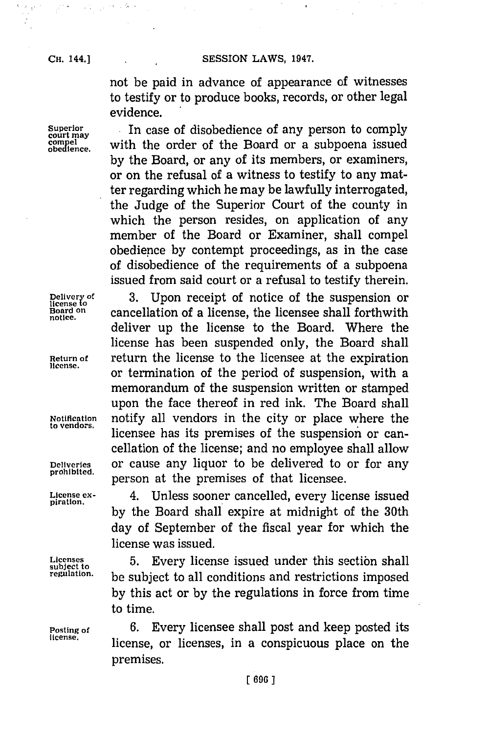$\mathbb{R}^{n+1}$ 

 $\mathcal{L}^{\mathcal{A}}_{\mathcal{A}}$  ,  $\mathcal{L}^{\mathcal{A}}_{\mathcal{A}}$  ,  $\mathcal{L}^{\mathcal{A}}_{\mathcal{A}}$  ,  $\mathcal{L}^{\mathcal{A}}_{\mathcal{A}}$  ,

**CH. 44.JSESSION LAWS, 1947.**

not be paid in advance of appearance of witnesses to testify or to produce books, records, or other legal evidence.

Superior **In case of disobedience of any person to comply complex**<br>
compel with the order of the Board or a subpoena issued with the order of the Board or a subpoena issued **by** the Board, or any of its members, or examiners, or on the refusal of a witness to testify to any matter regarding which he may be lawfully interrogated, the Judge of the Superior Court of the county in which the person resides, on application of any member of the Board or Examiner, shall compel obedience **by** contempt proceedings, as in the case of disobedience of the requirements of a subpoena issued from said court or a refusal to testify therein.

Delivery of 3. Upon receipt of notice of the suspension or **Board on cancellation of a license, the licensee shall forthwith** deliver up the license to the Board. Where the license has been suspended only, the Board shall **Return of return** the license to the licensee at the expiration or termination of the period of suspension, with a memorandum of the suspension written or stamped upon the face thereof in red ink. The Board shall **Notification** notify all vendors in the city or place where the licensee has its premises of the suspension or cancellation of the license; and no employee shall allow **Deliveries** or cause any liquor to be delivered to or for any person at the premises of that licensee.

**License ex-** 4. Unless sooner cancelled, every license issued **by** the Board shall expire at midnight of the 30th day of September of the fiscal year for which the license was issued,

Licenses 5. Every license issued under this section shall<br>subject to a subject to all applitions and ustriptions innergal be subject to all conditions and restrictions imposed **by** this act or **by** the regulations in force from time to time.

**Posting of 6. Every licensee shall post and keep posted its** license. license, or licenses, in a conspicuous place on the premises.

**piration.**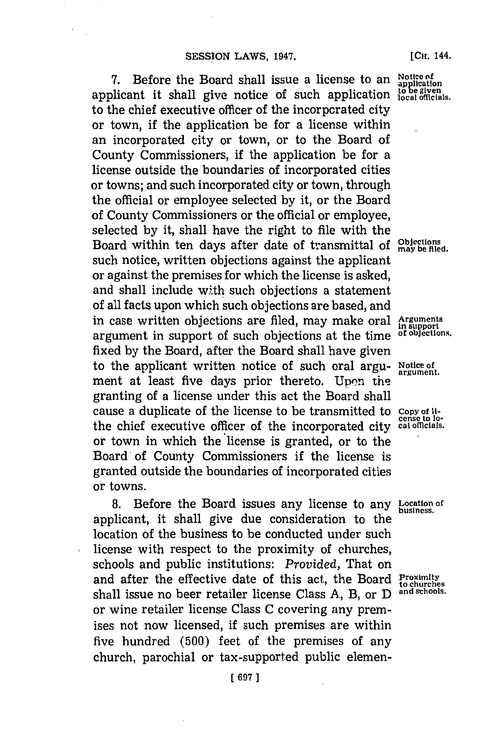7. Before the Board shall issue a license to an Notice of application inclusion is a license to an inclusion is the given shall give notice of such application is the given applicant it shall give notice of such application to the chief executive officer of the incorporated city or town, if the application be for a license within an incorporated city or town, or to the Board of County Commissioners, if the application be for a license outside the boundaries of incorporated cities or towns; and such incorporated city or town, through the official or employee selected **by** it, or the Board of County Commissioners or the official or employee, selected **by** it, shall have the right to file with the Board within ten days after date of transmittal of  $\frac{\text{Objectloss}}{\text{may be filed}}$ . such notice, written objections against the applicant or against the premises for which the license is asked, and shall include with such objections a statement of all facts upon which such objections are based, and in case written objections are filed, may make oral Arguments<br>argument in support of such objections at the time of objections. argument in support of such objections at the time fixed **by** the Board, after the Board shall have given to the applicant written notice of such oral argu- Notice of ment at least five days prior thereto. Upon the granting of a license under this act the Board shall cause a duplicate of the license to be transmitted to copy **of li- cense to lo-** the chief executive officer of the incorporated city **cal omcials.** or town in which the license is granted, or to the Board'of County Commissioners if the license is granted outside the boundaries of incorporated cities or towns.

**8.** Before the Board issues any license to any **Location of business,** applicant, it shall give due consideration to the location of the business to be conducted under such license with respect to the proximity of churches, schools and public institutions: *Provided,* That on and after the effective date of this act, the Board  $P_{\text{c}}^{\text{exim}}$ shall issue no beer retailer license Class **A.,** B, or **D and schools.** or wine retailer license Class **C** covering any premises not now licensed, if such premises are within five hundred **(500)** feet of the premises of any church, parochial or tax-supported public elemen-